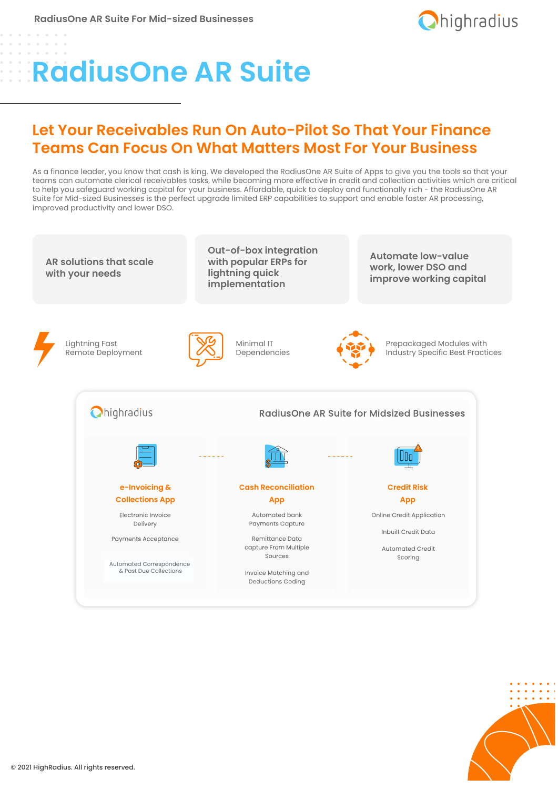

# Benefits **RadiusOne AR Suite**

### **Let Your Receivables Run On Auto-Pilot So That Your Finance Teams Can Focus On What Matters Most For Your Business**

As a finance leader, you know that cash is king. We developed the RadiusOne AR Suite of Apps to give you the tools so that your teams can automate clerical receivables tasks, while becoming more effective in credit and collection activities which are critical to help you safeguard working capital for your business. Affordable, quick to deploy and functionally rich - the RadiusOne AR Suite for Mid-sized Businesses is the perfect upgrade limited ERP capabilities to support and enable faster AR processing, improved productivity and lower DSO.